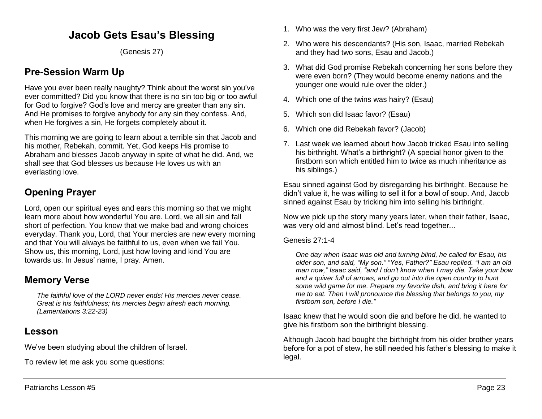# **Jacob Gets Esau's Blessing**

(Genesis 27)

# **Pre-Session Warm Up**

Have you ever been really naughty? Think about the worst sin you've ever committed? Did you know that there is no sin too big or too awful for God to forgive? God's love and mercy are greater than any sin. And He promises to forgive anybody for any sin they confess. And, when He forgives a sin. He forgets completely about it.

This morning we are going to learn about a terrible sin that Jacob and his mother, Rebekah, commit. Yet, God keeps His promise to Abraham and blesses Jacob anyway in spite of what he did. And, we shall see that God blesses us because He loves us with an everlasting love.

# **Opening Prayer**

Lord, open our spiritual eyes and ears this morning so that we might learn more about how wonderful You are. Lord, we all sin and fall short of perfection. You know that we make bad and wrong choices everyday. Thank you, Lord, that Your mercies are new every morning and that You will always be faithful to us, even when we fail You. Show us, this morning, Lord, just how loving and kind You are towards us. In Jesus' name, I pray. Amen.

# **Memory Verse**

*The faithful love of the LORD never ends! His mercies never cease. Great is his faithfulness; his mercies begin afresh each morning. (Lamentations 3:22-23)*

# **Lesson**

We've been studying about the children of Israel.

To review let me ask you some questions:

- 1. Who was the very first Jew? (Abraham)
- 2. Who were his descendants? (His son, Isaac, married Rebekah and they had two sons, Esau and Jacob.)
- 3. What did God promise Rebekah concerning her sons before they were even born? (They would become enemy nations and the younger one would rule over the older.)
- 4. Which one of the twins was hairy? (Esau)
- 5. Which son did Isaac favor? (Esau)
- 6. Which one did Rebekah favor? (Jacob)
- 7. Last week we learned about how Jacob tricked Esau into selling his birthright. What's a birthright? (A special honor given to the firstborn son which entitled him to twice as much inheritance as his siblings.)

Esau sinned against God by disregarding his birthright. Because he didn't value it, he was willing to sell it for a bowl of soup. And, Jacob sinned against Esau by tricking him into selling his birthright.

Now we pick up the story many years later, when their father, Isaac, was very old and almost blind. Let's read together...

### Genesis 27:1-4

*One day when Isaac was old and turning blind, he called for Esau, his older son, and said, "My son." "Yes, Father?" Esau replied. "I am an old man now," Isaac said, "and I don't know when I may die. Take your bow and a quiver full of arrows, and go out into the open country to hunt some wild game for me. Prepare my favorite dish, and bring it here for me to eat. Then I will pronounce the blessing that belongs to you, my firstborn son, before I die."* 

Isaac knew that he would soon die and before he did, he wanted to give his firstborn son the birthright blessing.

Although Jacob had bought the birthright from his older brother years before for a pot of stew, he still needed his father's blessing to make it legal.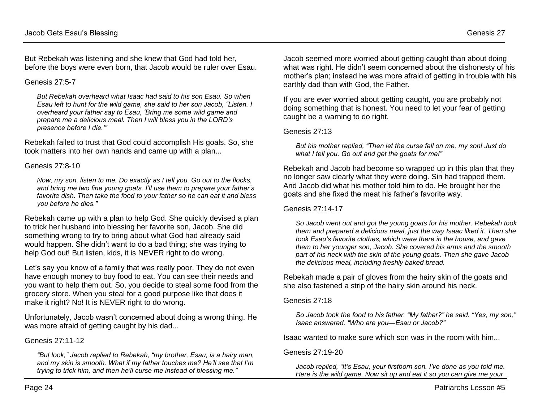But Rebekah was listening and she knew that God had told her, before the boys were even born, that Jacob would be ruler over Esau.

#### Genesis 27:5-7

*But Rebekah overheard what Isaac had said to his son Esau. So when Esau left to hunt for the wild game, she said to her son Jacob, "Listen. I overheard your father say to Esau, 'Bring me some wild game and prepare me a delicious meal. Then I will bless you in the LORD's presence before I die.'"*

Rebekah failed to trust that God could accomplish His goals. So, she took matters into her own hands and came up with a plan...

#### Genesis 27:8-10

*Now, my son, listen to me. Do exactly as I tell you. Go out to the flocks, and bring me two fine young goats. I'll use them to prepare your father's favorite dish. Then take the food to your father so he can eat it and bless you before he dies."* 

Rebekah came up with a plan to help God. She quickly devised a plan to trick her husband into blessing her favorite son, Jacob. She did something wrong to try to bring about what God had already said would happen. She didn't want to do a bad thing; she was trying to help God out! But listen, kids, it is NEVER right to do wrong.

Let's say you know of a family that was really poor. They do not even have enough money to buy food to eat. You can see their needs and you want to help them out. So, you decide to steal some food from the grocery store. When you steal for a good purpose like that does it make it right? No! It is NEVER right to do wrong.

Unfortunately, Jacob wasn't concerned about doing a wrong thing. He was more afraid of getting caught by his dad...

#### Genesis 27:11-12

*"But look," Jacob replied to Rebekah, "my brother, Esau, is a hairy man, and my skin is smooth. What if my father touches me? He'll see that I'm trying to trick him, and then he'll curse me instead of blessing me."* 

Jacob seemed more worried about getting caught than about doing what was right. He didn't seem concerned about the dishonesty of his mother's plan; instead he was more afraid of getting in trouble with his earthly dad than with God, the Father.

If you are ever worried about getting caught, you are probably not doing something that is honest. You need to let your fear of getting caught be a warning to do right.

#### Genesis 27:13

*But his mother replied, "Then let the curse fall on me, my son! Just do what I tell you. Go out and get the goats for me!"*

Rebekah and Jacob had become so wrapped up in this plan that they no longer saw clearly what they were doing. Sin had trapped them. And Jacob did what his mother told him to do. He brought her the goats and she fixed the meat his father's favorite way.

#### Genesis 27:14-17

*So Jacob went out and got the young goats for his mother. Rebekah took them and prepared a delicious meal, just the way Isaac liked it. Then she took Esau's favorite clothes, which were there in the house, and gave them to her younger son, Jacob. She covered his arms and the smooth part of his neck with the skin of the young goats. Then she gave Jacob the delicious meal, including freshly baked bread.* 

Rebekah made a pair of gloves from the hairy skin of the goats and she also fastened a strip of the hairy skin around his neck.

#### Genesis 27:18

*So Jacob took the food to his father. "My father?" he said. "Yes, my son," Isaac answered. "Who are you—Esau or Jacob?"*

Isaac wanted to make sure which son was in the room with him...

#### Genesis 27:19-20

*Jacob replied, "It's Esau, your firstborn son. I've done as you told me. Here is the wild game. Now sit up and eat it so you can give me your*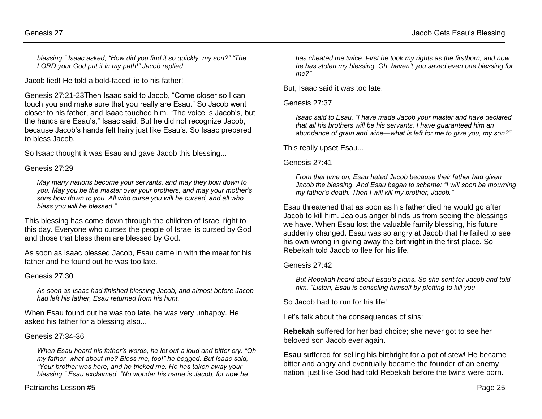*blessing." Isaac asked, "How did you find it so quickly, my son?" "The LORD your God put it in my path!" Jacob replied.* 

Jacob lied! He told a bold-faced lie to his father!

Genesis 27:21-23Then Isaac said to Jacob, "Come closer so I can touch you and make sure that you really are Esau." So Jacob went closer to his father, and Isaac touched him. "The voice is Jacob's, but the hands are Esau's," Isaac said. But he did not recognize Jacob, because Jacob's hands felt hairy just like Esau's. So Isaac prepared to bless Jacob.

So Isaac thought it was Esau and gave Jacob this blessing...

### Genesis 27:29

*May many nations become your servants, and may they bow down to you. May you be the master over your brothers, and may your mother's sons bow down to you. All who curse you will be cursed, and all who bless you will be blessed."*

This blessing has come down through the children of Israel right to this day. Everyone who curses the people of Israel is cursed by God and those that bless them are blessed by God.

As soon as Isaac blessed Jacob, Esau came in with the meat for his father and he found out he was too late.

### Genesis 27:30

*As soon as Isaac had finished blessing Jacob, and almost before Jacob had left his father, Esau returned from his hunt.*

When Esau found out he was too late, he was very unhappy. He asked his father for a blessing also...

### Genesis 27:34-36

*When Esau heard his father's words, he let out a loud and bitter cry. "Oh my father, what about me? Bless me, too!" he begged. But Isaac said, "Your brother was here, and he tricked me. He has taken away your blessing." Esau exclaimed, "No wonder his name is Jacob, for now he* 

*has cheated me twice. First he took my rights as the firstborn, and now he has stolen my blessing. Oh, haven't you saved even one blessing for me?"* 

But, Isaac said it was too late.

### Genesis 27:37

*Isaac said to Esau, "I have made Jacob your master and have declared that all his brothers will be his servants. I have guaranteed him an abundance of grain and wine—what is left for me to give you, my son?"* 

This really upset Esau...

#### Genesis 27:41

*From that time on, Esau hated Jacob because their father had given Jacob the blessing. And Esau began to scheme: "I will soon be mourning my father's death. Then I will kill my brother, Jacob."*

Esau threatened that as soon as his father died he would go after Jacob to kill him. Jealous anger blinds us from seeing the blessings we have. When Esau lost the valuable family blessing, his future suddenly changed. Esau was so angry at Jacob that he failed to see his own wrong in giving away the birthright in the first place. So Rebekah told Jacob to flee for his life.

### Genesis 27:42

*But Rebekah heard about Esau's plans. So she sent for Jacob and told him, "Listen, Esau is consoling himself by plotting to kill you*

So Jacob had to run for his life!

Let's talk about the consequences of sins:

**Rebekah** suffered for her bad choice; she never got to see her beloved son Jacob ever again.

**Esau** suffered for selling his birthright for a pot of stew! He became bitter and angry and eventually became the founder of an enemy nation, just like God had told Rebekah before the twins were born.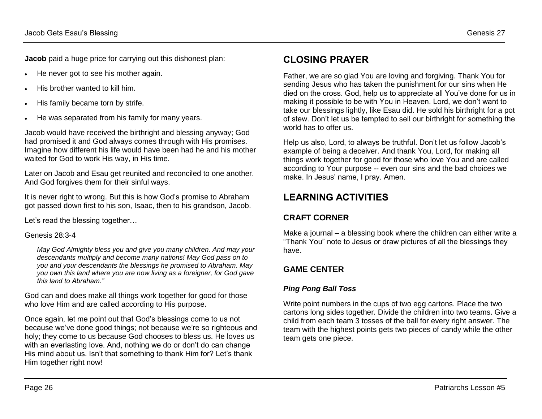**Jacob** paid a huge price for carrying out this dishonest plan:

- He never got to see his mother again.
- His brother wanted to kill him.
- His family became torn by strife.
- He was separated from his family for many years.

Jacob would have received the birthright and blessing anyway; God had promised it and God always comes through with His promises. Imagine how different his life would have been had he and his mother waited for God to work His way, in His time.

Later on Jacob and Esau get reunited and reconciled to one another. And God forgives them for their sinful ways.

It is never right to wrong. But this is how God's promise to Abraham got passed down first to his son, Isaac, then to his grandson, Jacob.

Let's read the blessing together…

### Genesis 28:3-4

*May God Almighty bless you and give you many children. And may your descendants multiply and become many nations! May God pass on to you and your descendants the blessings he promised to Abraham. May you own this land where you are now living as a foreigner, for God gave this land to Abraham."* 

God can and does make all things work together for good for those who love Him and are called according to His purpose.

Once again, let me point out that God's blessings come to us not because we've done good things; not because we're so righteous and holy; they come to us because God chooses to bless us. He loves us with an everlasting love. And, nothing we do or don't do can change His mind about us. Isn't that something to thank Him for? Let's thank Him together right now!

# **CLOSING PRAYER**

Father, we are so glad You are loving and forgiving. Thank You for sending Jesus who has taken the punishment for our sins when He died on the cross. God, help us to appreciate all You've done for us in making it possible to be with You in Heaven. Lord, we don't want to take our blessings lightly, like Esau did. He sold his birthright for a pot of stew. Don't let us be tempted to sell our birthright for something the world has to offer us.

Help us also, Lord, to always be truthful. Don't let us follow Jacob's example of being a deceiver. And thank You, Lord, for making all things work together for good for those who love You and are called according to Your purpose -- even our sins and the bad choices we make. In Jesus' name, I pray. Amen.

# **LEARNING ACTIVITIES**

# **CRAFT CORNER**

Make a journal – a blessing book where the children can either write a "Thank You" note to Jesus or draw pictures of all the blessings they have.

# **GAME CENTER**

## *Ping Pong Ball Toss*

Write point numbers in the cups of two egg cartons. Place the two cartons long sides together. Divide the children into two teams. Give a child from each team 3 tosses of the ball for every right answer. The team with the highest points gets two pieces of candy while the other team gets one piece.